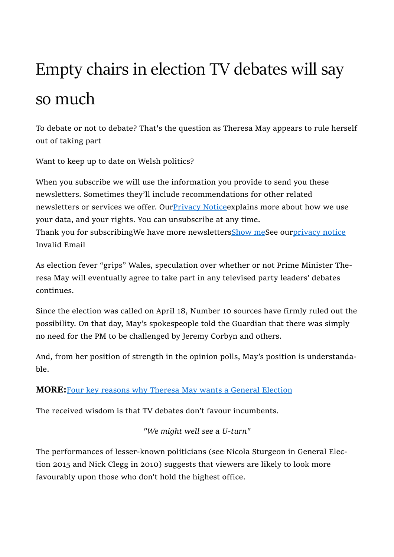# Empty chairs in election TV debates will say so much

To debate or not to debate? That's the question as Theresa May appears to rule herself out of taking part

Want to keep up to date on Welsh politics?

When you subscribe we will use the information you provide to send you these newsletters. Sometimes they'll include recommendations for other related newsletters or services we offer. Our Privacy Notice explains more about how we use your data, and your rights. You can unsubscribe at any time. Thank you for subscribingWe have more newslettersShow meSee ourprivacy notice Invalid Email

As election fever "grips" Wales, speculation over whether or not Prime Minister Theresa May will eventually agree to take part in any televised party leaders' debates continues.

Since the election was called on April 18, Number 10 sources have firmly ruled out the possibility. On that day, May's spokespeople told the Guardian that there was simply no need for the PM to be challenged by Jeremy Corbyn and others.

And, from her position of strength in the opinion polls, May's position is understandable.

## MORE:Four key reasons why Theresa May wants a General Election

The received wisdom is that TV debates don't favour incumbents.

"We might well see a U-turn"

The performances of lesser-known politicians (see Nicola Sturgeon in General Election 2015 and Nick Clegg in 2010) suggests that viewers are likely to look more favourably upon those who don't hold the highest office.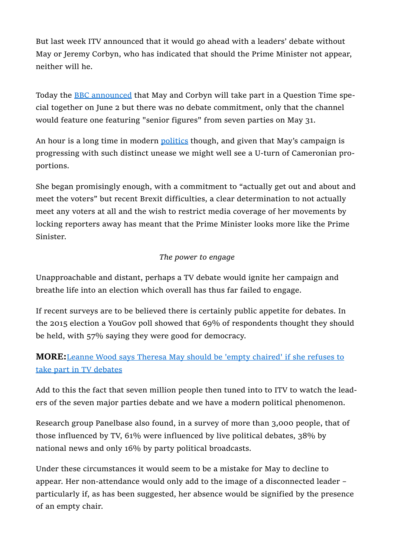But last week ITV announced that it would go ahead with a leaders' debate without May or Jeremy Corbyn, who has indicated that should the Prime Minister not appear, neither will he.

Today the BBC announced that May and Corbyn will take part in a Question Time special together on June 2 but there was no debate commitment, only that the channel would feature one featuring "senior figures" from seven parties on May 31.

An hour is a long time in modern politics though, and given that May's campaign is progressing with such distinct unease we might well see a U-turn of Cameronian proportions.

She began promisingly enough, with a commitment to "actually get out and about and meet the voters" but recent Brexit difficulties, a clear determination to not actually meet any voters at all and the wish to restrict media coverage of her movements by locking reporters away has meant that the Prime Minister looks more like the Prime Sinister.

### The power to engage

Unapproachable and distant, perhaps a TV debate would ignite her campaign and breathe life into an election which overall has thus far failed to engage.

If recent surveys are to be believed there is certainly public appetite for debates. In the 2015 election a YouGov poll showed that 69% of respondents thought they should be held, with 57% saying they were good for democracy.

## MORE:Leanne Wood says Theresa May should be 'empty chaired' if she refuses to take part in TV debates

Add to this the fact that seven million people then tuned into to ITV to watch the leaders of the seven major parties debate and we have a modern political phenomenon.

Research group Panelbase also found, in a survey of more than 3,000 people, that of those influenced by TV, 61% were influenced by live political debates, 38% by national news and only 16% by party political broadcasts.

Under these circumstances it would seem to be a mistake for May to decline to appear. Her non-attendance would only add to the image of a disconnected leader – particularly if, as has been suggested, her absence would be signified by the presence of an empty chair.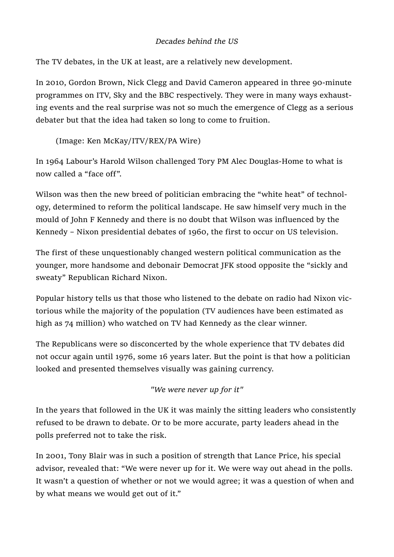#### Decades behind the US

The TV debates, in the UK at least, are a relatively new development.

In 2010, Gordon Brown, Nick Clegg and David Cameron appeared in three 90-minute programmes on ITV, Sky and the BBC respectively. They were in many ways exhausting events and the real surprise was not so much the emergence of Clegg as a serious debater but that the idea had taken so long to come to fruition.

(Image: Ken McKay/ITV/REX/PA Wire)

In 1964 Labour's Harold Wilson challenged Tory PM Alec Douglas-Home to what is now called a "face off".

Wilson was then the new breed of politician embracing the "white heat" of technology, determined to reform the political landscape. He saw himself very much in the mould of John F Kennedy and there is no doubt that Wilson was influenced by the Kennedy – Nixon presidential debates of 1960, the first to occur on US television.

The first of these unquestionably changed western political communication as the younger, more handsome and debonair Democrat JFK stood opposite the "sickly and sweaty" Republican Richard Nixon.

Popular history tells us that those who listened to the debate on radio had Nixon victorious while the majority of the population (TV audiences have been estimated as high as 74 million) who watched on TV had Kennedy as the clear winner.

The Republicans were so disconcerted by the whole experience that TV debates did not occur again until 1976, some 16 years later. But the point is that how a politician looked and presented themselves visually was gaining currency.

"We were never up for it"

In the years that followed in the UK it was mainly the sitting leaders who consistently refused to be drawn to debate. Or to be more accurate, party leaders ahead in the polls preferred not to take the risk.

In 2001, Tony Blair was in such a position of strength that Lance Price, his special advisor, revealed that: "We were never up for it. We were way out ahead in the polls. It wasn't a question of whether or not we would agree; it was a question of when and by what means we would get out of it."